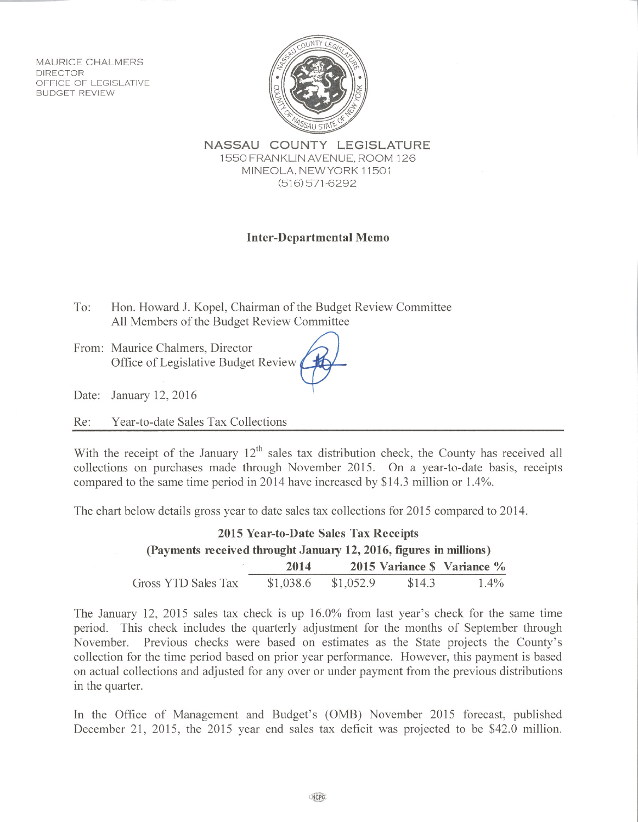**MAURICE CHALMERS DIRECTOR** OFFICE OF LEGISLATIVE **BUDGET REVIEW** 



NASSAU COUNTY LEGISLATURE 1550 FRANKLIN AVENUE, ROOM 126 MINEOLA, NEW YORK 11501  $(516)$  571-6292

## **Inter-Departmental Memo**

Hon. Howard J. Kopel, Chairman of the Budget Review Committee To: All Members of the Budget Review Committee

From: Maurice Chalmers, Director Office of Legislative Budget Review

Date: January 12, 2016

Re: Year-to-date Sales Tax Collections

With the receipt of the January  $12<sup>th</sup>$  sales tax distribution check, the County has received all collections on purchases made through November 2015. On a year-to-date basis, receipts compared to the same time period in 2014 have increased by \$14.3 million or 1.4%.

The chart below details gross year to date sales tax collections for 2015 compared to 2014.

| 2015 Year-to-Date Sales Tax Receipts                               |           |           |        |                            |  |
|--------------------------------------------------------------------|-----------|-----------|--------|----------------------------|--|
| (Payments received throught January 12, 2016, figures in millions) |           |           |        |                            |  |
|                                                                    | 2014      |           |        | 2015 Variance S Variance % |  |
| Gross YTD Sales Tax                                                | \$1,038.6 | \$1,052.9 | \$14.3 | $1.4\%$                    |  |

The January 12, 2015 sales tax check is up 16.0% from last year's check for the same time period. This check includes the quarterly adjustment for the months of September through Previous checks were based on estimates as the State projects the County's November. collection for the time period based on prior year performance. However, this payment is based on actual collections and adjusted for any over or under payment from the previous distributions in the quarter.

In the Office of Management and Budget's (OMB) November 2015 forecast, published December 21, 2015, the 2015 year end sales tax deficit was projected to be \$42.0 million.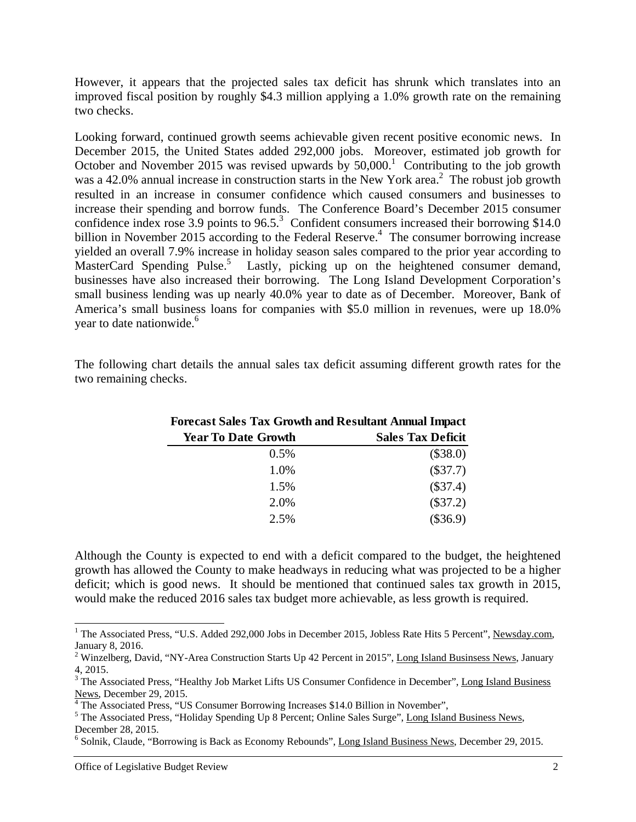However, it appears that the projected sales tax deficit has shrunk which translates into an improved fiscal position by roughly \$4.3 million applying a 1.0% growth rate on the remaining two checks.

Looking forward, continued growth seems achievable given recent positive economic news. In December 2015, the United States added 292,000 jobs. Moreover, estimated job growth for October and November 2015 was revised upwards by  $50,000$ .<sup>1</sup> Contributing to the job growth was a 42.0% annual increase in construction starts in the New York area.<sup>2</sup> The robust job growth resulted in an increase in consumer confidence which caused consumers and businesses to increase their spending and borrow funds. The Conference Board's December 2015 consumer confidence index rose  $3.9$  points to  $96.5$ .<sup>3</sup> Confident consumers increased their borrowing \$14.0 billion in November 2015 according to the Federal Reserve.<sup>4</sup> The consumer borrowing increase yielded an overall 7.9% increase in holiday season sales compared to the prior year according to MasterCard Spending Pulse.<sup>5</sup> Lastly, picking up on the heightened consumer demand, businesses have also increased their borrowing. The Long Island Development Corporation's small business lending was up nearly 40.0% year to date as of December. Moreover, Bank of America's small business loans for companies with \$5.0 million in revenues, were up 18.0% year to date nationwide.<sup>6</sup>

The following chart details the annual sales tax deficit assuming different growth rates for the two remaining checks.

| <b>Forecast Sales Tax Growth and Resultant Annual Impact</b> |                          |  |  |
|--------------------------------------------------------------|--------------------------|--|--|
| <b>Year To Date Growth</b>                                   | <b>Sales Tax Deficit</b> |  |  |
| $0.5\%$                                                      | $(\$38.0)$               |  |  |
| 1.0%                                                         | $(\$37.7)$               |  |  |
| 1.5%                                                         | $(\$37.4)$               |  |  |
| 2.0%                                                         | $(\$37.2)$               |  |  |
| 2.5%                                                         | $(\$36.9)$               |  |  |

Although the County is expected to end with a deficit compared to the budget, the heightened growth has allowed the County to make headways in reducing what was projected to be a higher deficit; which is good news. It should be mentioned that continued sales tax growth in 2015, would make the reduced 2016 sales tax budget more achievable, as less growth is required.

 $\overline{\phantom{a}}$ 

<sup>&</sup>lt;sup>1</sup> The Associated Press, "U.S. Added 292,000 Jobs in December 2015, Jobless Rate Hits 5 Percent", Newsday.com, January 8, 2016.

<sup>&</sup>lt;sup>2</sup> Winzelberg, David, "NY-Area Construction Starts Up 42 Percent in 2015", Long Island Businsess News, January 4, 2015.

<sup>&</sup>lt;sup>3</sup> The Associated Press, "Healthy Job Market Lifts US Consumer Confidence in December", Long Island Business News, December 29, 2015.<br>
<sup>4</sup> The Associated Press, "US Consumer Borrowing Increases \$14.0 Billion in November",<br>
<sup>5</sup> The Associated Press, "Holiday Spending Up 8 Persont: Opline Seles Surge", Long Jelen

<sup>&</sup>lt;sup>5</sup> The Associated Press, "Holiday Spending Up 8 Percent; Online Sales Surge", Long Island Business News, December 28, 2015.

<sup>&</sup>lt;sup>6</sup> Solnik, Claude, "Borrowing is Back as Economy Rebounds", Long Island Business News, December 29, 2015.